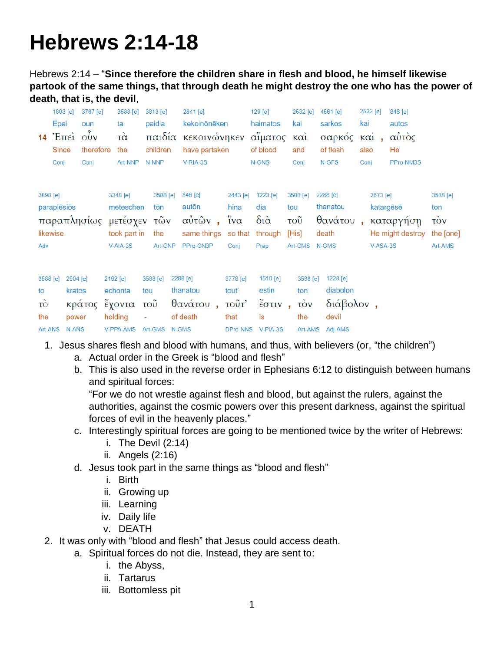## **Hebrews 2:14-18**

Hebrews 2:14 – "**Since therefore the children share in flesh and blood, he himself likewise partook of the same things, that through death he might destroy the one who has the power of death, that is, the devil**,

|                                        | 1893 [e]<br>Epei<br>$14$ 'E $\pi$ $\epsilon$ $\tilde{u}$ $\sigma$ $\tilde{v}$ $\tilde{v}$<br>Since<br>Conj | 3767 [e]<br>oun<br>therefore<br>Coni | ta<br>$\vec{\alpha}$<br>the                 | 3588 [e]<br>Art-NNP       | 3813 [e]<br>paidia<br>children<br>N-NNP | 2841 [e]<br>kekoinōnēken<br>παιδία κεκοινώνηκεν αίματος και<br>have partaken<br>V-RIA-3S |                                       | 129 [e]<br>haimatos<br>of blood<br>N-GNS      |                     | 2532 [e]<br>kai<br>and<br>Coni                              | 4561 [e]<br>sarkos<br>σαρκός καὶ,<br>of flesh<br>N-GFS | kai<br>also<br>Coni | 2532 [e]                          | 846 [e]<br>autos<br>αὐτὸς<br>He<br>PPro-NM3S |                                                                   |
|----------------------------------------|------------------------------------------------------------------------------------------------------------|--------------------------------------|---------------------------------------------|---------------------------|-----------------------------------------|------------------------------------------------------------------------------------------|---------------------------------------|-----------------------------------------------|---------------------|-------------------------------------------------------------|--------------------------------------------------------|---------------------|-----------------------------------|----------------------------------------------|-------------------------------------------------------------------|
| 3898 [e]<br>likewise<br>Adv            | paraplēsiōs                                                                                                | παραπλησίως μετέσχεν τῶν             | 3348 [e]<br>$V-AIA-3S$                      | meteschen<br>took part in | 3588 [e]<br>tōn<br>the<br>Art-GNP       | 846 [e]<br>autōn<br>αὐτῶν, ἴνα<br>same things so that through<br>PPro-GN3P               | 2443 [e]<br>hina<br>Conj              | 1223 [e]<br>dia<br>$\delta$ ιά<br>Prep        | tou<br>τοῦ<br>[His] | 3588 [e]<br>Art-GMS N-GMS                                   | 2288 [e]<br>thanatou<br>θανάτου,<br>death              |                     | 2673 [e]<br>katargēsē<br>V-ASA-3S | καταργήση<br>He might destroy                | 3588 [e]<br>ton<br>$\overrightarrow{cov}$<br>the [one]<br>Art-AMS |
| 3588 [e]<br>to<br>τò<br>the<br>Art-ANS | 2904 [e]<br>kratos<br>power<br>N-ANS                                                                       | κράτος ἔχοντα                        | 2192 [e]<br>echonta<br>holding<br>V-PPA-AMS | ÷,                        | 3588 [e]<br>tou<br>τοῦ<br>Art-GMS N-GMS | 2288 [e]<br>thanatou<br>θανάτου, τοῦτ'<br>of death                                       | 3778 [e]<br>tout'<br>that<br>DPro-NNS | 1510 [e]<br>estin<br>έστιν,<br>is<br>V-PIA-3S |                     | 3588 [e]<br>ton<br>$\overrightarrow{10V}$<br>the<br>Art-AMS | 1228 [e]<br>diabolon<br>διάβολον,<br>devil<br>Adj-AMS  |                     |                                   |                                              |                                                                   |

- 1. Jesus shares flesh and blood with humans, and thus, with believers (or, "the children")
	- a. Actual order in the Greek is "blood and flesh"
	- b. This is also used in the reverse order in Ephesians 6:12 to distinguish between humans and spiritual forces:

"For we do not wrestle against flesh and blood, but against the rulers, against the authorities, against the cosmic powers over this present darkness, against the spiritual forces of evil in the heavenly places."

- c. Interestingly spiritual forces are going to be mentioned twice by the writer of Hebrews:
	- i. The Devil (2:14)
	- ii. Angels (2:16)
- d. Jesus took part in the same things as "blood and flesh"
	- i. Birth
	- ii. Growing up
	- iii. Learning
	- iv. Daily life
	- v. DEATH
- 2. It was only with "blood and flesh" that Jesus could access death.
	- a. Spiritual forces do not die. Instead, they are sent to:
		- i. the Abyss,
		- ii. Tartarus
		- iii. Bottomless pit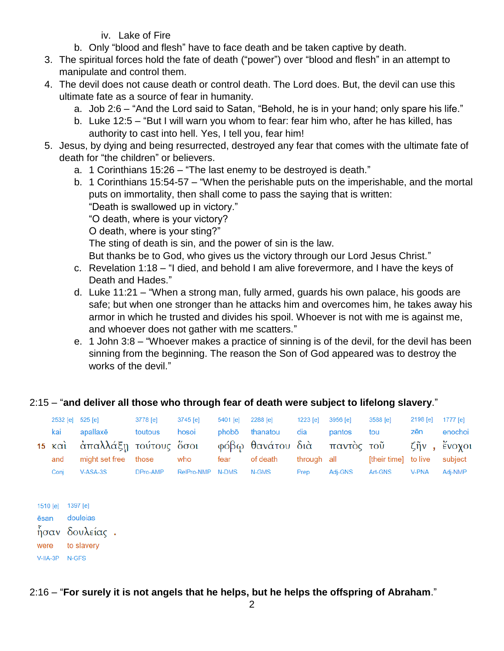iv. Lake of Fire

- b. Only "blood and flesh" have to face death and be taken captive by death.
- 3. The spiritual forces hold the fate of death ("power") over "blood and flesh" in an attempt to manipulate and control them.
- 4. The devil does not cause death or control death. The Lord does. But, the devil can use this ultimate fate as a source of fear in humanity.
	- a. Job 2:6 "And the Lord said to Satan, "Behold, he is in your hand; only spare his life."
	- b. Luke 12:5 "But I will warn you whom to fear: fear him who, after he has killed, has authority to cast into hell. Yes, I tell you, fear him!
- 5. Jesus, by dying and being resurrected, destroyed any fear that comes with the ultimate fate of death for "the children" or believers.
	- a. 1 Corinthians 15:26 "The last enemy to be destroyed is death."
	- b. 1 Corinthians 15:54-57 "When the perishable puts on the imperishable, and the mortal puts on immortality, then shall come to pass the saying that is written:

"Death is swallowed up in victory."

"O death, where is your victory?

O death, where is your sting?"

The sting of death is sin, and the power of sin is the law.

But thanks be to God, who gives us the victory through our Lord Jesus Christ."

- c. Revelation 1:18 "I died, and behold I am alive forevermore, and I have the keys of Death and Hades."
- d. Luke 11:21 "When a strong man, fully armed, guards his own palace, his goods are safe; but when one stronger than he attacks him and overcomes him, he takes away his armor in which he trusted and divides his spoil. Whoever is not with me is against me, and whoever does not gather with me scatters."
- e. 1 John 3:8 "Whoever makes a practice of sinning is of the devil, for the devil has been sinning from the beginning. The reason the Son of God appeared was to destroy the works of the devil."

## 2:15 – "**and deliver all those who through fear of death were subject to lifelong slavery**."

|                                                          | 2532 [e]<br>kai<br>$15 \times \alpha i$<br>and<br>Conj |                     | 525 [e]<br>apallaxe<br>άπαλλάξη τούτους όσοι<br>might set free<br>V-ASA-3S | 3778 [e]<br>toutous<br>those<br>DPro-AMP | $3745$ [e]<br>hosoi<br>who<br>RelPro-NMP | 5401 [e]<br>phobō<br>fear<br>N-DMS | 2288 [e]<br>thanatou<br>φόβω θανάτου διὰ<br>of death<br>N-GMS | 1223 [e]<br>dia<br>through all<br>Prep | 3956 [e]<br>pantos<br>παντὸς τοῦ<br>Adj-GNS | 3588 [e]<br>tou<br>[their time] to live<br>Art-GNS | 2198 [e]<br>zēn<br>ζῆν<br>$\mathbf{u}$<br><b>V-PNA</b> | 1777 [e]<br>enochoi<br>$\check{\epsilon}$ voyot<br>subject<br>Adj-NMP |
|----------------------------------------------------------|--------------------------------------------------------|---------------------|----------------------------------------------------------------------------|------------------------------------------|------------------------------------------|------------------------------------|---------------------------------------------------------------|----------------------------------------|---------------------------------------------|----------------------------------------------------|--------------------------------------------------------|-----------------------------------------------------------------------|
| 1510 [e]<br>ēsan<br>ήσαν δουλείας.<br>were<br>$V-IIA-3P$ |                                                        | 1397 $[e]$<br>N-GFS | douleias<br>to slavery                                                     |                                          |                                          |                                    |                                                               |                                        |                                             |                                                    |                                                        |                                                                       |

2:16 – "**For surely it is not angels that he helps, but he helps the offspring of Abraham**."